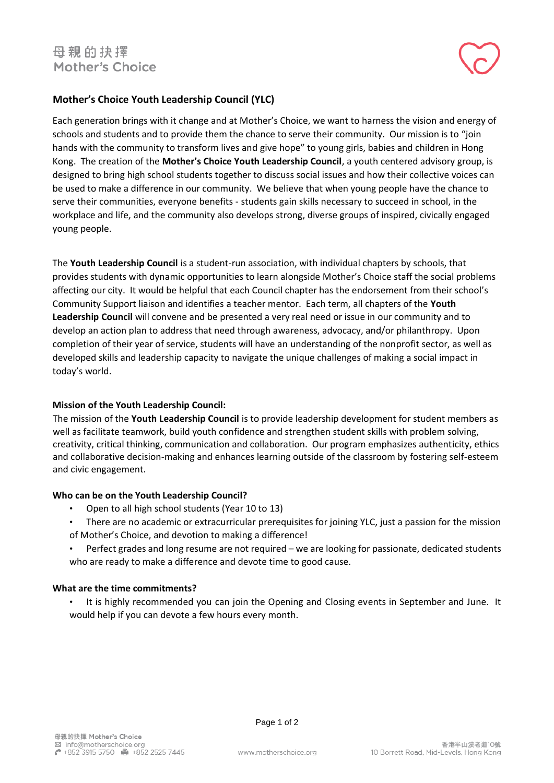# **Mother's Choice Youth Leadership Council (YLC)**

Each generation brings with it change and at Mother's Choice, we want to harness the vision and energy of schools and students and to provide them the chance to serve their community. Our mission is to "join hands with the community to transform lives and give hope" to young girls, babies and children in Hong Kong. The creation of the **Mother's Choice Youth Leadership Council**, a youth centered advisory group, is designed to bring high school students together to discuss social issues and how their collective voices can be used to make a difference in our community. We believe that when young people have the chance to serve their communities, everyone benefits - students gain skills necessary to succeed in school, in the workplace and life, and the community also develops strong, diverse groups of inspired, civically engaged young people.

The **Youth Leadership Council** is a student-run association, with individual chapters by schools, that provides students with dynamic opportunities to learn alongside Mother's Choice staff the social problems affecting our city. It would be helpful that each Council chapter has the endorsement from their school's Community Support liaison and identifies a teacher mentor. Each term, all chapters of the **Youth Leadership Council** will convene and be presented a very real need or issue in our community and to develop an action plan to address that need through awareness, advocacy, and/or philanthropy. Upon completion of their year of service, students will have an understanding of the nonprofit sector, as well as developed skills and leadership capacity to navigate the unique challenges of making a social impact in today's world.

## **Mission of the Youth Leadership Council:**

The mission of the **Youth Leadership Council** is to provide leadership development for student members as well as facilitate teamwork, build youth confidence and strengthen student skills with problem solving, creativity, critical thinking, communication and collaboration. Our program emphasizes authenticity, ethics and collaborative decision-making and enhances learning outside of the classroom by fostering self-esteem and civic engagement.

## **Who can be on the Youth Leadership Council?**

- Open to all high school students (Year 10 to 13)
- There are no academic or extracurricular prerequisites for joining YLC, just a passion for the mission of Mother's Choice, and devotion to making a difference!
- Perfect grades and long resume are not required we are looking for passionate, dedicated students who are ready to make a difference and devote time to good cause.

## **What are the time commitments?**

• It is highly recommended you can join the Opening and Closing events in September and June. It would help if you can devote a few hours every month.